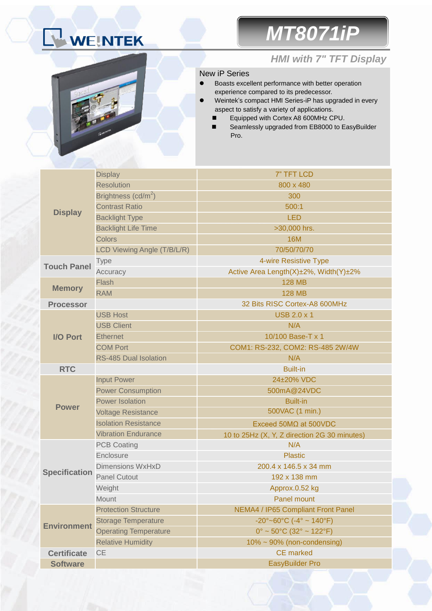# WEINTEK

## *MT8071iP*



### *HMI with 7" TFT Display*

#### New iP Series

- Boasts excellent performance with better operation experience compared to its predecessor.
- Weintek's compact HMI Series-iP has upgraded in every aspect to satisfy a variety of applications.
	- Equipped with Cortex A8 600MHz CPU.
	- Seamlessly upgraded from EB8000 to EasyBuilder Pro.

|                      | <b>Display</b>                  | 7" TFT LCD                                   |  |  |  |
|----------------------|---------------------------------|----------------------------------------------|--|--|--|
| <b>Display</b>       | <b>Resolution</b>               | 800 x 480                                    |  |  |  |
|                      | Brightness (cd/m <sup>2</sup> ) | 300                                          |  |  |  |
|                      | <b>Contrast Ratio</b>           | 500:1                                        |  |  |  |
|                      | <b>Backlight Type</b>           | <b>LED</b>                                   |  |  |  |
|                      | <b>Backlight Life Time</b>      | >30,000 hrs.                                 |  |  |  |
|                      | <b>Colors</b>                   | <b>16M</b>                                   |  |  |  |
|                      | LCD Viewing Angle (T/B/L/R)     | 70/50/70/70                                  |  |  |  |
| <b>Touch Panel</b>   | <b>Type</b>                     | 4-wire Resistive Type                        |  |  |  |
|                      | Accuracy                        | Active Area Length(X)±2%, Width(Y)±2%        |  |  |  |
|                      | Flash                           | <b>128 MB</b>                                |  |  |  |
| <b>Memory</b>        | <b>RAM</b>                      | <b>128 MB</b>                                |  |  |  |
| <b>Processor</b>     |                                 | 32 Bits RISC Cortex-A8 600MHz                |  |  |  |
|                      | <b>USB Host</b>                 | <b>USB 2.0 x 1</b>                           |  |  |  |
| <b>I/O Port</b>      | <b>USB Client</b>               | N/A                                          |  |  |  |
|                      | <b>Ethernet</b>                 | 10/100 Base-T x 1                            |  |  |  |
|                      | <b>COM Port</b>                 | COM1: RS-232, COM2: RS-485 2W/4W             |  |  |  |
|                      | <b>RS-485 Dual Isolation</b>    | N/A                                          |  |  |  |
| <b>RTC</b>           |                                 | <b>Built-in</b>                              |  |  |  |
|                      | <b>Input Power</b>              | 24±20% VDC                                   |  |  |  |
|                      | <b>Power Consumption</b>        | 500mA@24VDC                                  |  |  |  |
|                      | <b>Power Isolation</b>          | <b>Built-in</b>                              |  |  |  |
| <b>Power</b>         | <b>Voltage Resistance</b>       | 500VAC (1 min.)                              |  |  |  |
|                      | <b>Isolation Resistance</b>     | Exceed $50M\Omega$ at $500VDC$               |  |  |  |
|                      | <b>Vibration Endurance</b>      | 10 to 25Hz (X, Y, Z direction 2G 30 minutes) |  |  |  |
|                      | <b>PCB Coating</b>              | N/A                                          |  |  |  |
|                      | Enclosure                       | <b>Plastic</b>                               |  |  |  |
| <b>Specification</b> | <b>Dimensions WxHxD</b>         | 200.4 x 146.5 x 34 mm                        |  |  |  |
|                      | <b>Panel Cutout</b>             | 192 x 138 mm                                 |  |  |  |
|                      | Weight                          | Approx.0.52 kg                               |  |  |  |
|                      | Mount                           | Panel mount                                  |  |  |  |
|                      | <b>Protection Structure</b>     | NEMA4 / IP65 Compliant Front Panel           |  |  |  |
|                      | <b>Storage Temperature</b>      | $-20^{\circ}$ ~60°C (-4° ~ 140°F)            |  |  |  |
| <b>Environment</b>   | <b>Operating Temperature</b>    | $0^{\circ}$ ~ 50°C (32° ~ 122°F)             |  |  |  |
|                      | <b>Relative Humidity</b>        | $10\% \sim 90\%$ (non-condensing)            |  |  |  |
| <b>Certificate</b>   | <b>CE</b>                       | <b>CE</b> marked                             |  |  |  |
| <b>Software</b>      |                                 | <b>EasyBuilder Pro</b>                       |  |  |  |